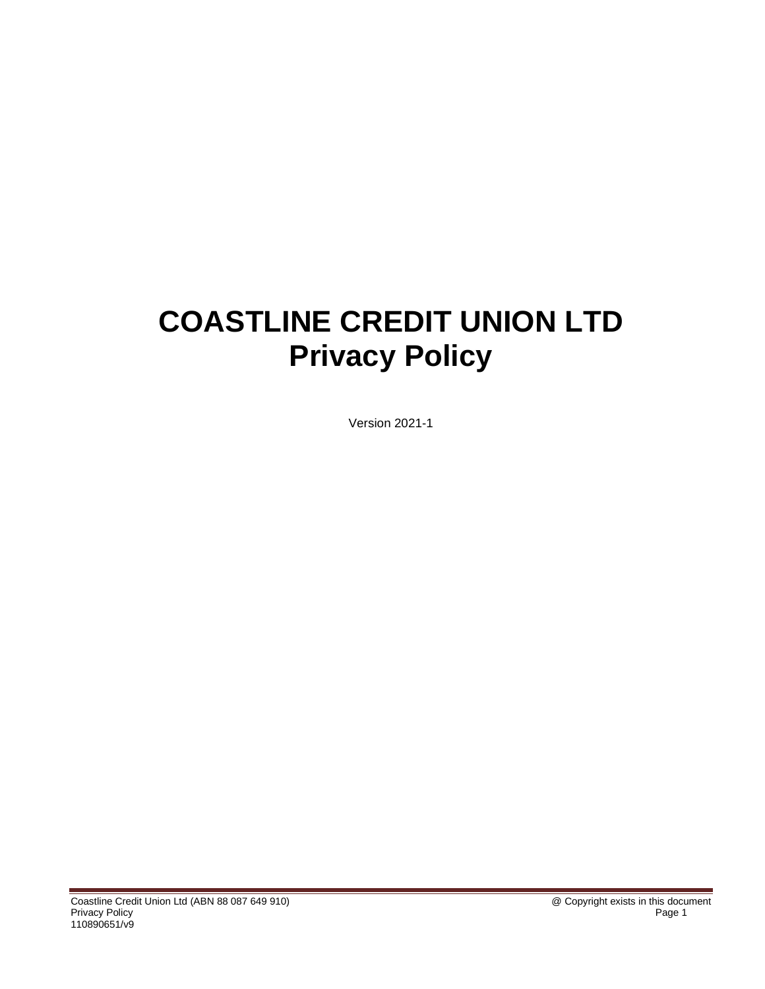# **COASTLINE CREDIT UNION LTD Privacy Policy**

Version 2021-1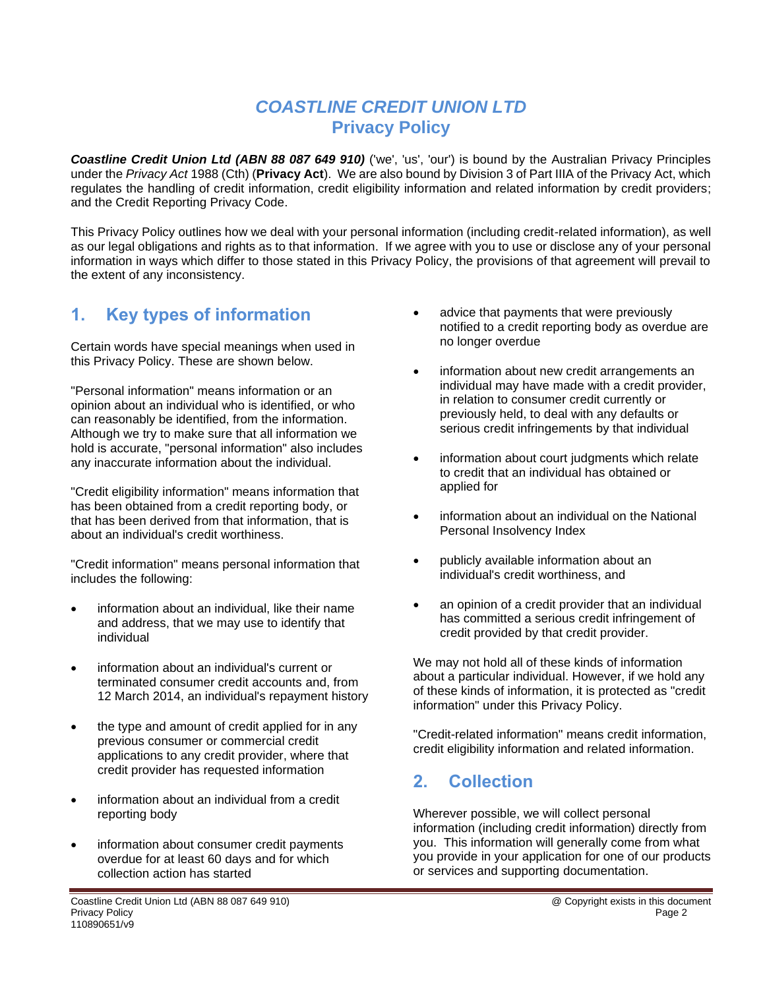# *COASTLINE CREDIT UNION LTD* **Privacy Policy**

*Coastline Credit Union Ltd (ABN 88 087 649 910)* ('we', 'us', 'our') is bound by the Australian Privacy Principles under the *Privacy Act* 1988 (Cth) (**Privacy Act**). We are also bound by Division 3 of Part IIIA of the Privacy Act, which regulates the handling of credit information, credit eligibility information and related information by credit providers; and the Credit Reporting Privacy Code.

This Privacy Policy outlines how we deal with your personal information (including credit-related information), as well as our legal obligations and rights as to that information. If we agree with you to use or disclose any of your personal information in ways which differ to those stated in this Privacy Policy, the provisions of that agreement will prevail to the extent of any inconsistency.

### **1. Key types of information**

Certain words have special meanings when used in this Privacy Policy. These are shown below.

"Personal information" means information or an opinion about an individual who is identified, or who can reasonably be identified, from the information. Although we try to make sure that all information we hold is accurate, "personal information" also includes any inaccurate information about the individual.

"Credit eligibility information" means information that has been obtained from a credit reporting body, or that has been derived from that information, that is about an individual's credit worthiness.

"Credit information" means personal information that includes the following:

- information about an individual, like their name and address, that we may use to identify that individual
- information about an individual's current or terminated consumer credit accounts and, from 12 March 2014, an individual's repayment history
- the type and amount of credit applied for in any previous consumer or commercial credit applications to any credit provider, where that credit provider has requested information
- information about an individual from a credit reporting body
- information about consumer credit payments overdue for at least 60 days and for which collection action has started
- advice that payments that were previously notified to a credit reporting body as overdue are no longer overdue
- information about new credit arrangements an individual may have made with a credit provider, in relation to consumer credit currently or previously held, to deal with any defaults or serious credit infringements by that individual
- information about court judgments which relate to credit that an individual has obtained or applied for
- information about an individual on the National Personal Insolvency Index
- publicly available information about an individual's credit worthiness, and
- an opinion of a credit provider that an individual has committed a serious credit infringement of credit provided by that credit provider.

We may not hold all of these kinds of information about a particular individual. However, if we hold any of these kinds of information, it is protected as "credit information" under this Privacy Policy.

"Credit-related information" means credit information, credit eligibility information and related information.

# **2. Collection**

Wherever possible, we will collect personal information (including credit information) directly from you. This information will generally come from what you provide in your application for one of our products or services and supporting documentation.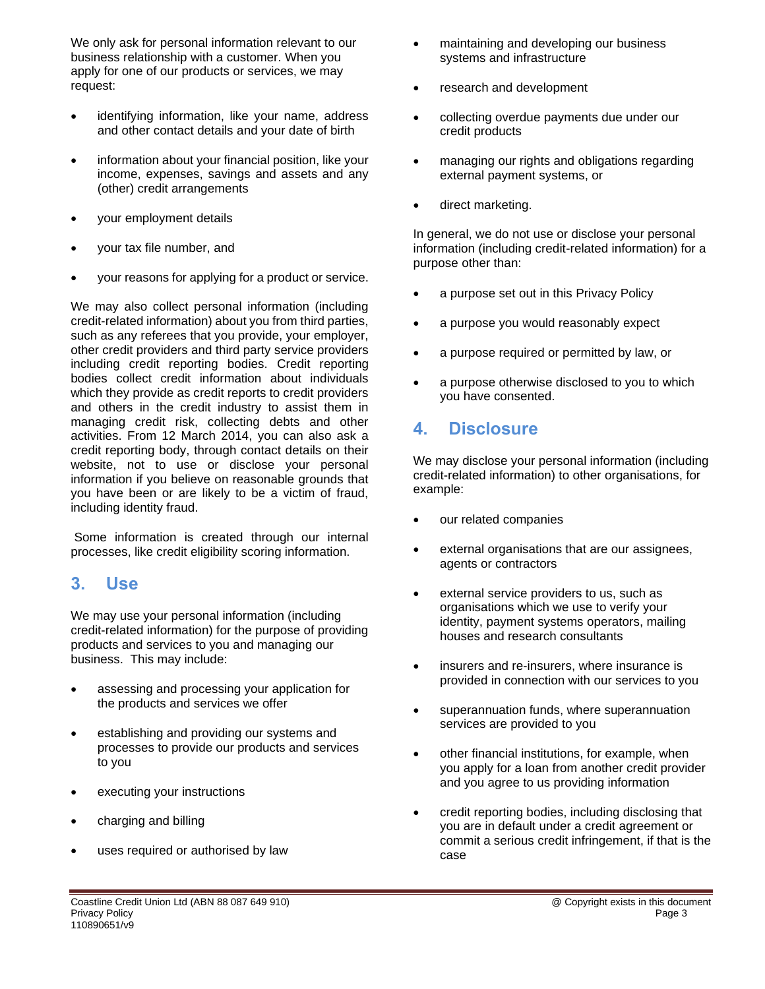We only ask for personal information relevant to our business relationship with a customer. When you apply for one of our products or services, we may request:

- identifying information, like your name, address and other contact details and your date of birth
- information about your financial position, like your income, expenses, savings and assets and any (other) credit arrangements
- your employment details
- your tax file number, and
- your reasons for applying for a product or service.

We may also collect personal information (including credit-related information) about you from third parties, such as any referees that you provide, your employer, other credit providers and third party service providers including credit reporting bodies. Credit reporting bodies collect credit information about individuals which they provide as credit reports to credit providers and others in the credit industry to assist them in managing credit risk, collecting debts and other activities. From 12 March 2014, you can also ask a credit reporting body, through contact details on their website, not to use or disclose your personal information if you believe on reasonable grounds that you have been or are likely to be a victim of fraud, including identity fraud.

Some information is created through our internal processes, like credit eligibility scoring information.

### **3. Use**

We may use your personal information (including credit-related information) for the purpose of providing products and services to you and managing our business. This may include:

- assessing and processing your application for the products and services we offer
- establishing and providing our systems and processes to provide our products and services to you
- executing your instructions
- charging and billing
- uses required or authorised by law
- maintaining and developing our business systems and infrastructure
- research and development
- collecting overdue payments due under our credit products
- managing our rights and obligations regarding external payment systems, or
- direct marketing.

In general, we do not use or disclose your personal information (including credit-related information) for a purpose other than:

- a purpose set out in this Privacy Policy
- a purpose you would reasonably expect
- a purpose required or permitted by law, or
- a purpose otherwise disclosed to you to which you have consented.

### **4. Disclosure**

We may disclose your personal information (including credit-related information) to other organisations, for example:

- our related companies
- external organisations that are our assignees, agents or contractors
- external service providers to us, such as organisations which we use to verify your identity, payment systems operators, mailing houses and research consultants
- insurers and re-insurers, where insurance is provided in connection with our services to you
- superannuation funds, where superannuation services are provided to you
- other financial institutions, for example, when you apply for a loan from another credit provider and you agree to us providing information
- credit reporting bodies, including disclosing that you are in default under a credit agreement or commit a serious credit infringement, if that is the case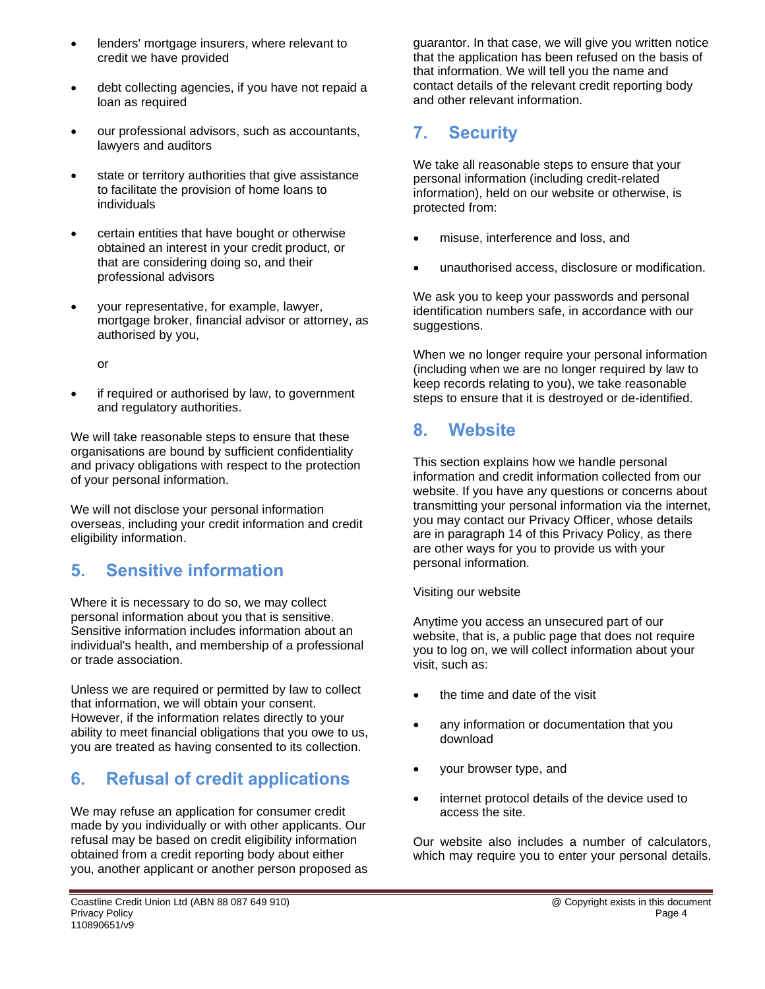- lenders' mortgage insurers, where relevant to credit we have provided
- debt collecting agencies, if you have not repaid a loan as required
- our professional advisors, such as accountants, lawyers and auditors
- state or territory authorities that give assistance to facilitate the provision of home loans to individuals
- certain entities that have bought or otherwise obtained an interest in your credit product, or that are considering doing so, and their professional advisors
- your representative, for example, lawyer, mortgage broker, financial advisor or attorney, as authorised by you,

or

if required or authorised by law, to government and regulatory authorities.

We will take reasonable steps to ensure that these organisations are bound by sufficient confidentiality and privacy obligations with respect to the protection of your personal information.

We will not disclose your personal information overseas, including your credit information and credit eligibility information.

### **5. Sensitive information**

Where it is necessary to do so, we may collect personal information about you that is sensitive. Sensitive information includes information about an individual's health, and membership of a professional or trade association.

Unless we are required or permitted by law to collect that information, we will obtain your consent. However, if the information relates directly to your ability to meet financial obligations that you owe to us, you are treated as having consented to its collection.

# **6. Refusal of credit applications**

We may refuse an application for consumer credit made by you individually or with other applicants. Our refusal may be based on credit eligibility information obtained from a credit reporting body about either you, another applicant or another person proposed as guarantor. In that case, we will give you written notice that the application has been refused on the basis of that information. We will tell you the name and contact details of the relevant credit reporting body and other relevant information.

# **7. Security**

We take all reasonable steps to ensure that your personal information (including credit-related information), held on our website or otherwise, is protected from:

- misuse, interference and loss, and
- unauthorised access, disclosure or modification.

We ask you to keep your passwords and personal identification numbers safe, in accordance with our suggestions.

When we no longer require your personal information (including when we are no longer required by law to keep records relating to you), we take reasonable steps to ensure that it is destroyed or de-identified.

### **8. Website**

This section explains how we handle personal information and credit information collected from our website. If you have any questions or concerns about transmitting your personal information via the internet, you may contact our Privacy Officer, whose details are in paragraph 14 of this Privacy Policy, as there are other ways for you to provide us with your personal information.

#### Visiting our website

Anytime you access an unsecured part of our website, that is, a public page that does not require you to log on, we will collect information about your visit, such as:

- the time and date of the visit
- any information or documentation that you download
- your browser type, and
- internet protocol details of the device used to access the site.

Our website also includes a number of calculators, which may require you to enter your personal details.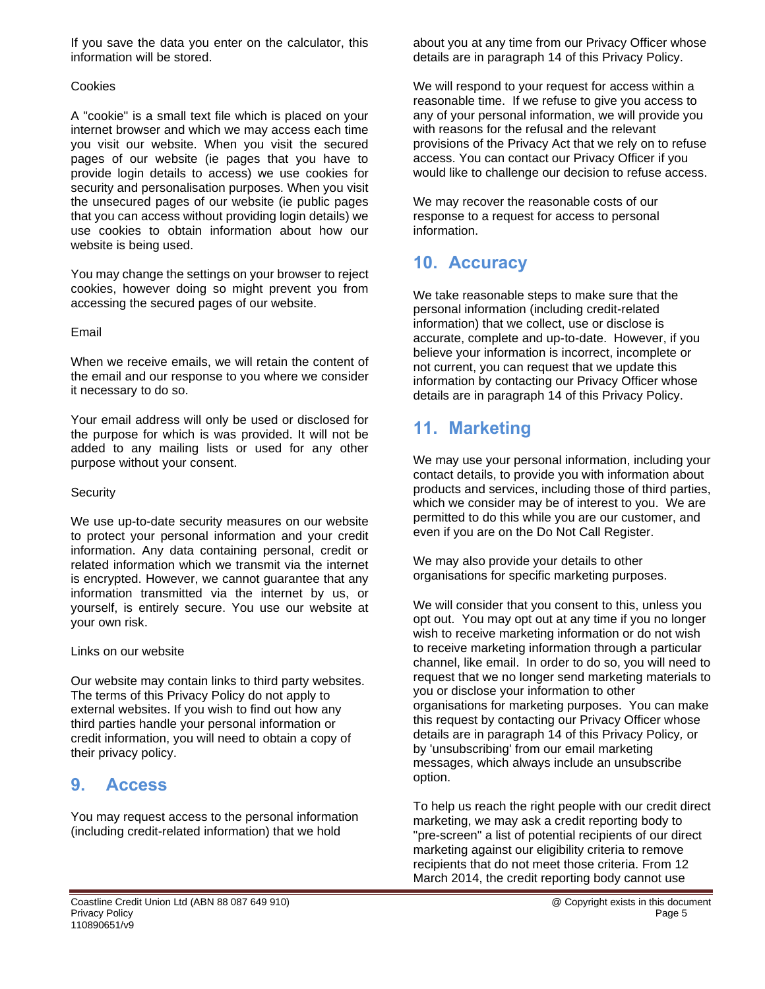If you save the data you enter on the calculator, this information will be stored.

#### **Cookies**

A "cookie" is a small text file which is placed on your internet browser and which we may access each time you visit our website. When you visit the secured pages of our website (ie pages that you have to provide login details to access) we use cookies for security and personalisation purposes. When you visit the unsecured pages of our website (ie public pages that you can access without providing login details) we use cookies to obtain information about how our website is being used.

You may change the settings on your browser to reject cookies, however doing so might prevent you from accessing the secured pages of our website.

#### Email

When we receive emails, we will retain the content of the email and our response to you where we consider it necessary to do so.

Your email address will only be used or disclosed for the purpose for which is was provided. It will not be added to any mailing lists or used for any other purpose without your consent.

#### **Security**

We use up-to-date security measures on our website to protect your personal information and your credit information. Any data containing personal, credit or related information which we transmit via the internet is encrypted. However, we cannot guarantee that any information transmitted via the internet by us, or yourself, is entirely secure. You use our website at your own risk.

#### Links on our website

Our website may contain links to third party websites. The terms of this Privacy Policy do not apply to external websites. If you wish to find out how any third parties handle your personal information or credit information, you will need to obtain a copy of their privacy policy.

### **9. Access**

You may request access to the personal information (including credit-related information) that we hold

about you at any time from our Privacy Officer whose details are in paragraph 14 of this Privacy Policy.

We will respond to your request for access within a reasonable time. If we refuse to give you access to any of your personal information, we will provide you with reasons for the refusal and the relevant provisions of the Privacy Act that we rely on to refuse access. You can contact our Privacy Officer if you would like to challenge our decision to refuse access.

We may recover the reasonable costs of our response to a request for access to personal information.

### **10. Accuracy**

We take reasonable steps to make sure that the personal information (including credit-related information) that we collect, use or disclose is accurate, complete and up-to-date. However, if you believe your information is incorrect, incomplete or not current, you can request that we update this information by contacting our Privacy Officer whose details are in paragraph 14 of this Privacy Policy.

### **11. Marketing**

We may use your personal information, including your contact details, to provide you with information about products and services, including those of third parties, which we consider may be of interest to you. We are permitted to do this while you are our customer, and even if you are on the Do Not Call Register.

We may also provide your details to other organisations for specific marketing purposes.

We will consider that you consent to this, unless you opt out. You may opt out at any time if you no longer wish to receive marketing information or do not wish to receive marketing information through a particular channel, like email. In order to do so, you will need to request that we no longer send marketing materials to you or disclose your information to other organisations for marketing purposes. You can make this request by contacting our Privacy Officer whose details are in paragraph 14 of this Privacy Policy*,* or by 'unsubscribing' from our email marketing messages, which always include an unsubscribe option.

To help us reach the right people with our credit direct marketing, we may ask a credit reporting body to "pre-screen" a list of potential recipients of our direct marketing against our eligibility criteria to remove recipients that do not meet those criteria. From 12 March 2014, the credit reporting body cannot use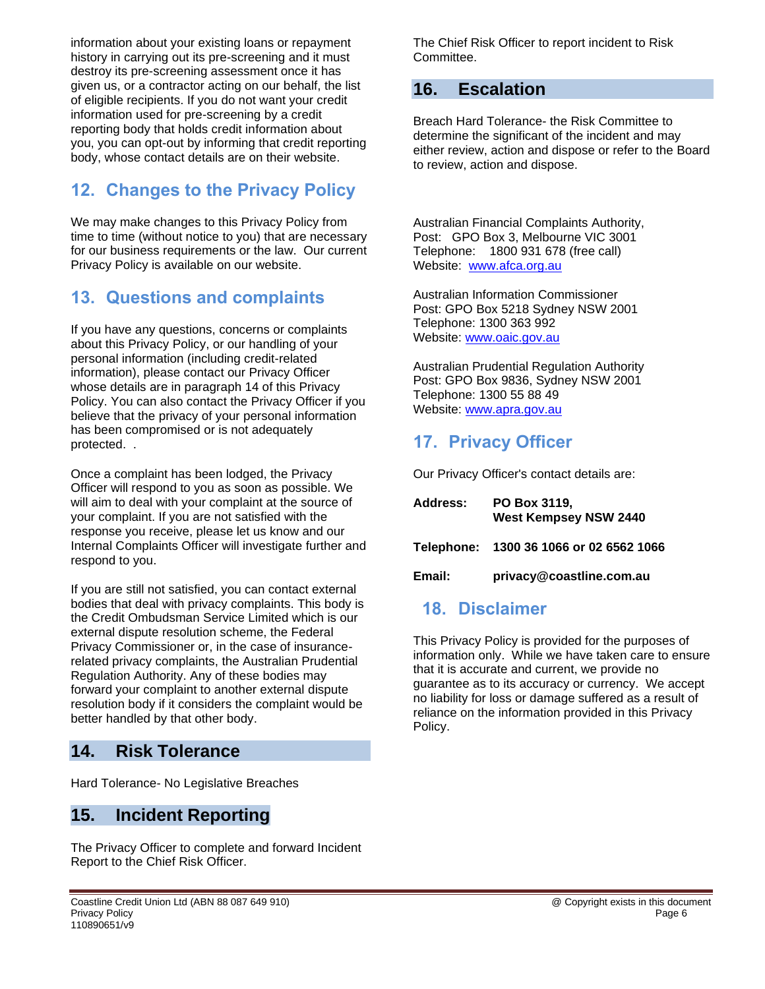information about your existing loans or repayment history in carrying out its pre-screening and it must destroy its pre-screening assessment once it has given us, or a contractor acting on our behalf, the list of eligible recipients. If you do not want your credit information used for pre-screening by a credit reporting body that holds credit information about you, you can opt-out by informing that credit reporting body, whose contact details are on their website.

# **12. Changes to the Privacy Policy**

We may make changes to this Privacy Policy from time to time (without notice to you) that are necessary for our business requirements or the law. Our current Privacy Policy is available on our website.

### **13. Questions and complaints**

If you have any questions, concerns or complaints about this Privacy Policy, or our handling of your personal information (including credit-related information), please contact our Privacy Officer whose details are in paragraph 14 of this Privacy Policy. You can also contact the Privacy Officer if you believe that the privacy of your personal information has been compromised or is not adequately protected. .

Once a complaint has been lodged, the Privacy Officer will respond to you as soon as possible. We will aim to deal with your complaint at the source of your complaint. If you are not satisfied with the response you receive, please let us know and our Internal Complaints Officer will investigate further and respond to you.

If you are still not satisfied, you can contact external bodies that deal with privacy complaints. This body is the Credit Ombudsman Service Limited which is our external dispute resolution scheme, the Federal Privacy Commissioner or, in the case of insurancerelated privacy complaints, the Australian Prudential Regulation Authority. Any of these bodies may forward your complaint to another external dispute resolution body if it considers the complaint would be better handled by that other body.

### **14. Risk Tolerance**

Hard Tolerance- No Legislative Breaches

### **15. Incident Reporting**

The Privacy Officer to complete and forward Incident Report to the Chief Risk Officer.

### **16. Escalation**

Breach Hard Tolerance- the Risk Committee to determine the significant of the incident and may either review, action and dispose or refer to the Board to review, action and dispose.

Australian Financial Complaints Authority, Post: GPO Box 3, Melbourne VIC 3001 Telephone: 1800 931 678 (free call) Website: www.afca.org.au

Australian Information Commissioner Post: GPO Box 5218 Sydney NSW 2001 Telephone: 1300 363 992 Website: [www.oaic.gov.au](http://www.oaic.gov.au/)

Australian Prudential Regulation Authority Post: GPO Box 9836, Sydney NSW 2001 Telephone: 1300 55 88 49 Website: [www.apra.gov.au](http://www.apra.gov.au/)

# **17. Privacy Officer**

Our Privacy Officer's contact details are:

| Address: | PO Box 3119,<br><b>West Kempsey NSW 2440</b> |
|----------|----------------------------------------------|
|          | Telephone: 1300 36 1066 or 02 6562 1066      |
| Email:   | privacy@coastline.com.au                     |

### **18. Disclaimer**

This Privacy Policy is provided for the purposes of information only. While we have taken care to ensure that it is accurate and current, we provide no guarantee as to its accuracy or currency. We accept no liability for loss or damage suffered as a result of reliance on the information provided in this Privacy Policy.